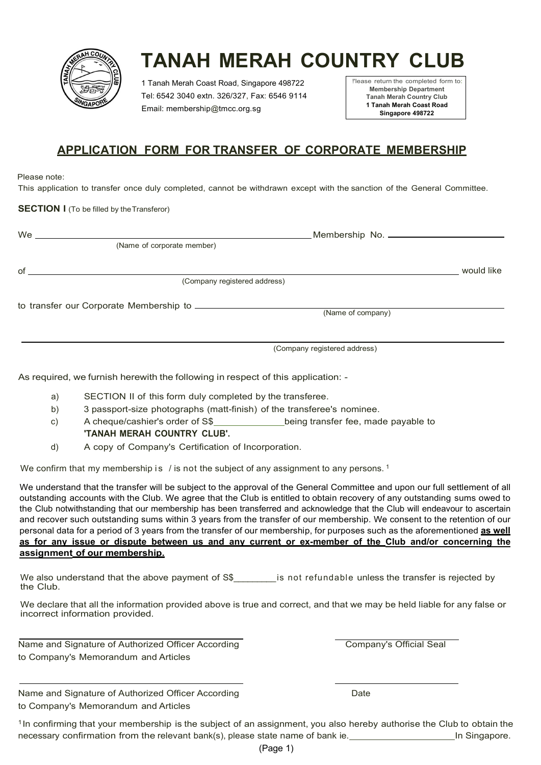

1 Tanah Merah Coast Road, Singapore 498722 Tel: 6542 3040 extn. 326/327, Fax: 6546 9114 Email: membership@tmcc.org.sg

!'lease return the completed form to: Membership Department Tanah Merah Country Club 1 Tanah Merah Coast Road Singapore 498722

## APPLICATION FORM FOR TRANSFER OF CORPORATE MEMBERSHIP

#### Please note:

This application to transfer once duly completed, cannot be withdrawn except with the sanction of the General Committee.

#### SECTION I (To be filled by the Transferor)

|               | (Name of corporate member)                                                                                                                                                                                                                                                                                                                                                                                                                                                                                           |            |
|---------------|----------------------------------------------------------------------------------------------------------------------------------------------------------------------------------------------------------------------------------------------------------------------------------------------------------------------------------------------------------------------------------------------------------------------------------------------------------------------------------------------------------------------|------------|
| of            |                                                                                                                                                                                                                                                                                                                                                                                                                                                                                                                      | would like |
|               | (Company registered address)                                                                                                                                                                                                                                                                                                                                                                                                                                                                                         |            |
|               | (Name of company)                                                                                                                                                                                                                                                                                                                                                                                                                                                                                                    |            |
|               |                                                                                                                                                                                                                                                                                                                                                                                                                                                                                                                      |            |
|               | (Company registered address)                                                                                                                                                                                                                                                                                                                                                                                                                                                                                         |            |
|               | As required, we furnish herewith the following in respect of this application: -                                                                                                                                                                                                                                                                                                                                                                                                                                     |            |
| a)            | SECTION II of this form duly completed by the transferee.                                                                                                                                                                                                                                                                                                                                                                                                                                                            |            |
| b)            | 3 passport-size photographs (matt-finish) of the transferee's nominee.                                                                                                                                                                                                                                                                                                                                                                                                                                               |            |
| $\mathsf{c})$ | A cheque/cashier's order of S\$ being transfer fee, made payable to                                                                                                                                                                                                                                                                                                                                                                                                                                                  |            |
|               | <b>'TANAH MERAH COUNTRY CLUB'.</b>                                                                                                                                                                                                                                                                                                                                                                                                                                                                                   |            |
| d)            | A copy of Company's Certification of Incorporation.                                                                                                                                                                                                                                                                                                                                                                                                                                                                  |            |
|               | We confirm that my membership is / is not the subject of any assignment to any persons. <sup>1</sup>                                                                                                                                                                                                                                                                                                                                                                                                                 |            |
|               | We understand that the transfer will be subject to the approval of the General Committee and upon our full settlement of all<br>outstanding accounts with the Club. We agree that the Club is entitled to obtain recovery of any outstanding sums owed to<br>the Club notwithstanding that our membership has been transferred and acknowledge that the Club will endeavour to ascertain<br>and recover such outstanding sums within 3 years from the transfer of our membership. We consent to the retention of our |            |

- a) SECTION II of this form duly completed by the transferee.
- b) 3 passport-size photographs (matt-finish) of the transferee's nominee.
- c) A cheque/cashier's order of S\$ being transfer fee, made payable to 'TANAH MERAH COUNTRY CLUB'.
- d) A copy of Company's Certification of Incorporation.

We understand that the transfer will be subject to the approval of the General Committee and upon our full settlement of all outstanding accounts with the Club. We agree that the Club is entitled to obtain recovery of any outstanding sums owed to the Club notwithstanding that our membership has been transferred and acknowledge that the Club will endeavour to ascertain and recover such outstanding sums within 3 years from the transfer of our membership. We consent to the retention of our personal data for a period of 3 years from the transfer of our membership, for purposes such as the aforementioned as well as for any issue or dispute between us and any current or ex-member of the Club and/or concerning the assignment of our membership.

We also understand that the above payment of S\$ is not refundable unless the transfer is rejected by the Club.

We declare that all the information provided above is true and correct, and that we may be held liable for any false or incorrect information provided.

Name and Signature of Authorized Officer According to Company's Memorandum and Articles

Company's Official Seal

Date

Name and Signature of Authorized Officer According to Company's Memorandum and Articles

<sup>1</sup>In confirming that your membership is the subject of an assignment, you also hereby authorise the Club to obtain the necessary confirmation from the relevant bank(s), please state name of bank ie. **In Shangapore.** In Singapore.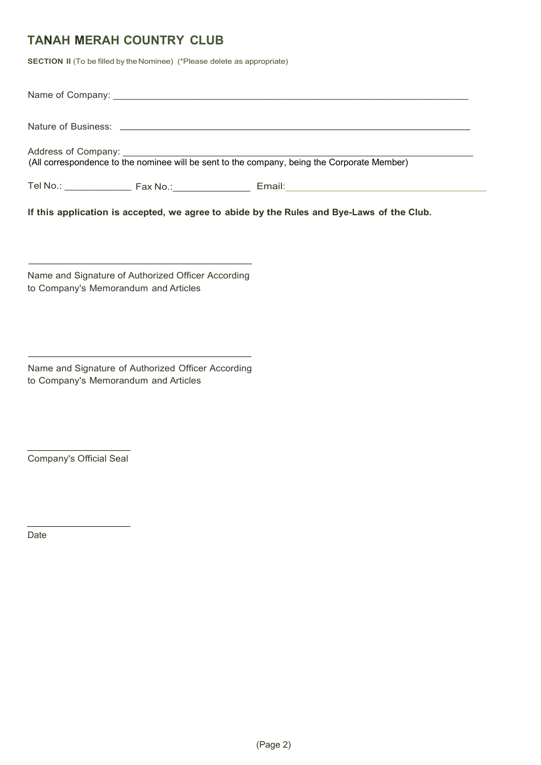SECTION II (To be filled by the Nominee) (\*Please delete as appropriate)

|  | (All correspondence to the nominee will be sent to the company, being the Corporate Member) |  |
|--|---------------------------------------------------------------------------------------------|--|
|  |                                                                                             |  |

If this application is accepted, we agree to abide by the Rules and Bye-Laws of the Club.

| Name and Signature of Authorized Officer According |  |
|----------------------------------------------------|--|
| to Company's Memorandum and Articles               |  |

Name and Signature of Authorized Officer According to Company's Memorandum and Articles

Company's Official Seal

Date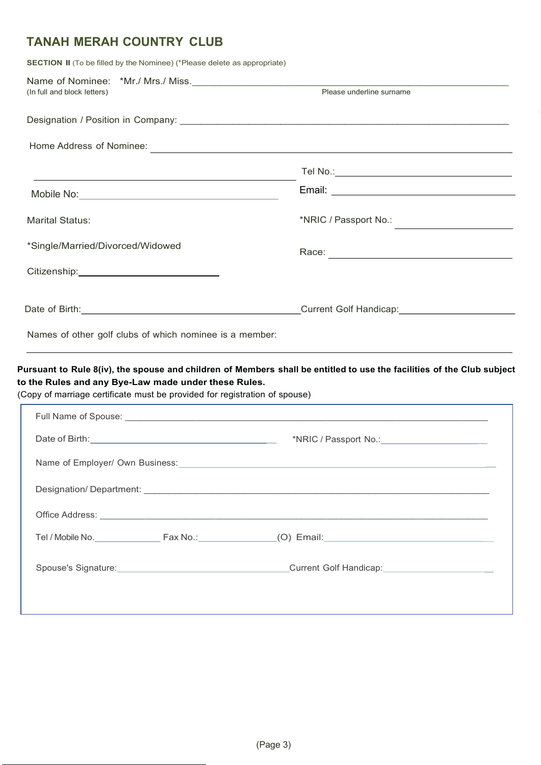SECTION II (To be filled by the Nominee) (\*Please delete as appropriate)

| (In full and block letters)                                                                                                        | Please underline surname                                                                                                                                                                                                                                                                                                                                |  |
|------------------------------------------------------------------------------------------------------------------------------------|---------------------------------------------------------------------------------------------------------------------------------------------------------------------------------------------------------------------------------------------------------------------------------------------------------------------------------------------------------|--|
|                                                                                                                                    |                                                                                                                                                                                                                                                                                                                                                         |  |
|                                                                                                                                    |                                                                                                                                                                                                                                                                                                                                                         |  |
|                                                                                                                                    |                                                                                                                                                                                                                                                                                                                                                         |  |
|                                                                                                                                    |                                                                                                                                                                                                                                                                                                                                                         |  |
| <b>Marital Status:</b>                                                                                                             |                                                                                                                                                                                                                                                                                                                                                         |  |
| *Single/Married/Divorced/Widowed                                                                                                   |                                                                                                                                                                                                                                                                                                                                                         |  |
|                                                                                                                                    |                                                                                                                                                                                                                                                                                                                                                         |  |
|                                                                                                                                    | Date of Birth: <u>Cambridge Community Contract Construction Contract Colf Handicap:</u>                                                                                                                                                                                                                                                                 |  |
| Names of other golf clubs of which nominee is a member:                                                                            |                                                                                                                                                                                                                                                                                                                                                         |  |
| to the Rules and any Bye-Law made under these Rules.<br>(Copy of marriage certificate must be provided for registration of spouse) | Pursuant to Rule 8(iv), the spouse and children of Members shall be entitled to use the facilities of the Club subject<br>the control of the control of the control of the control of the control of the control of the control of the control of the control of the control of the control of the control of the control of the control of the control |  |
|                                                                                                                                    |                                                                                                                                                                                                                                                                                                                                                         |  |
|                                                                                                                                    |                                                                                                                                                                                                                                                                                                                                                         |  |
|                                                                                                                                    |                                                                                                                                                                                                                                                                                                                                                         |  |

Tel / Mobile No.\_\_\_\_\_\_\_\_\_\_\_\_\_ Fax No.: (O) Email: \_

Spouse's Signature: Current Golf Handicap:

Office Address: \_\_\_\_\_\_\_\_\_\_\_\_\_\_\_\_\_\_\_\_\_\_\_\_\_\_\_\_\_\_\_\_\_\_\_\_\_\_\_\_\_\_\_\_\_\_\_\_\_\_\_\_\_\_\_\_\_\_\_\_\_\_\_\_\_\_\_\_\_\_\_\_\_\_\_\_\_ z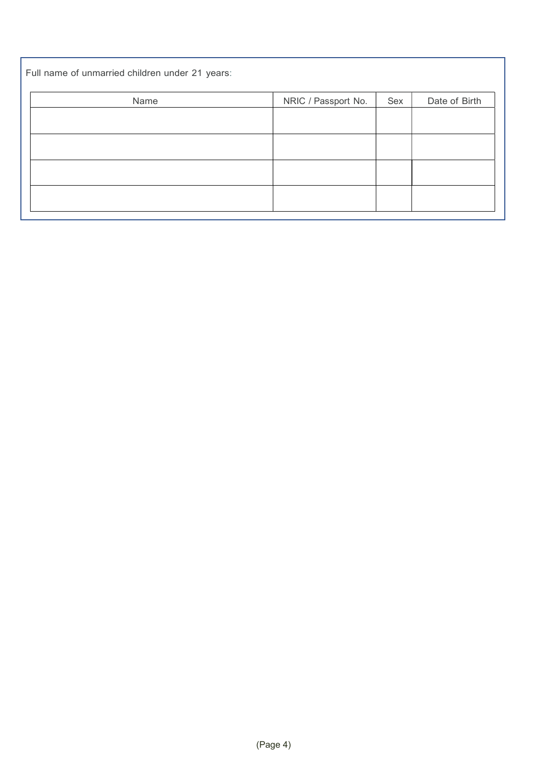| Full name of unmarried children under 21 years: |                     |     |               |
|-------------------------------------------------|---------------------|-----|---------------|
| Name                                            | NRIC / Passport No. | Sex | Date of Birth |
|                                                 |                     |     |               |
|                                                 |                     |     |               |
|                                                 |                     |     |               |
|                                                 |                     |     |               |
|                                                 |                     |     |               |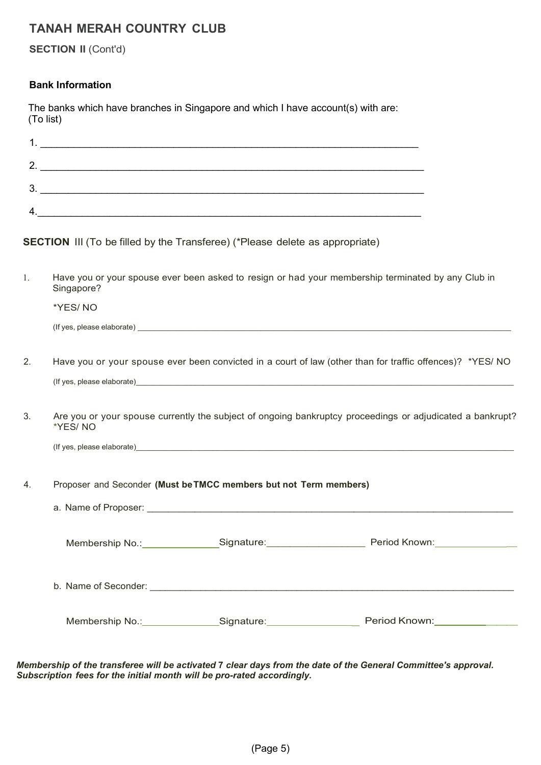SECTION II (Cont'd)

#### Bank Information

| The banks which have branches in Singapore and which I have account(s) with are: |  |  |
|----------------------------------------------------------------------------------|--|--|
| (To list)                                                                        |  |  |

| ٠  |  |
|----|--|
| כי |  |
| ົ  |  |
|    |  |

SECTION III (To be filled by the Transferee) (\*Please delete as appropriate)

| 1. | Have you or your spouse ever been asked to resign or had your membership terminated by any Club in<br>Singapore?     |                                                                   |                                                                                                                                                                                                                                |  |  |
|----|----------------------------------------------------------------------------------------------------------------------|-------------------------------------------------------------------|--------------------------------------------------------------------------------------------------------------------------------------------------------------------------------------------------------------------------------|--|--|
|    | *YES/NO                                                                                                              |                                                                   |                                                                                                                                                                                                                                |  |  |
|    |                                                                                                                      |                                                                   | (If yes, please elaborate) electron and the set of the set of the set of the set of the set of the set of the set of the set of the set of the set of the set of the set of the set of the set of the set of the set of the se |  |  |
| 2. |                                                                                                                      |                                                                   | Have you or your spouse ever been convicted in a court of law (other than for traffic offences)? *YES/ NO                                                                                                                      |  |  |
|    |                                                                                                                      |                                                                   |                                                                                                                                                                                                                                |  |  |
| 3. | Are you or your spouse currently the subject of ongoing bankruptcy proceedings or adjudicated a bankrupt?<br>*YES/NO |                                                                   |                                                                                                                                                                                                                                |  |  |
|    |                                                                                                                      |                                                                   | (If yes, please elaborate) expression and the set of the set of the set of the set of the set of the set of the set of the set of the set of the set of the set of the set of the set of the set of the set of the set of the  |  |  |
| 4. |                                                                                                                      | Proposer and Seconder (Must be TMCC members but not Term members) |                                                                                                                                                                                                                                |  |  |
|    |                                                                                                                      |                                                                   |                                                                                                                                                                                                                                |  |  |
|    |                                                                                                                      |                                                                   |                                                                                                                                                                                                                                |  |  |
|    |                                                                                                                      |                                                                   |                                                                                                                                                                                                                                |  |  |
|    |                                                                                                                      | Membership No.:________________Signature:__________________       | Period Known:_____________                                                                                                                                                                                                     |  |  |

Membership of the transferee will be activated 7 clear days from the date of the General Committee's approval. Subscription fees for the initial month will be pro-rated accordingly.